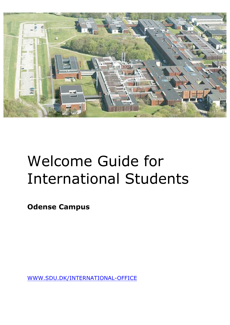

# Welcome Guide for International Students

**Odense Campus**

WWW.SDU.DK/INTERNATIONAL-OFFICE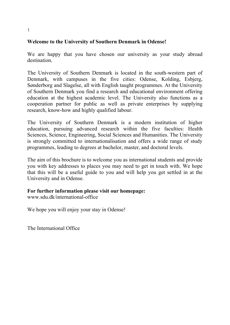### **Welcome to the University of Southern Denmark in Odense!**

We are happy that you have chosen our university as your study abroad destination.

The University of Southern Denmark is located in the south-western part of Denmark, with campuses in the five cities: Odense, Kolding, Esbjerg, Sønderborg and Slagelse, all with English taught programmes. At the University of Southern Denmark you find a research and educational environment offering education at the highest academic level. The University also functions as a cooperation partner for public as well as private enterprises by supplying research, know-how and highly qualified labour.

The University of Southern Denmark is a modern institution of higher education, pursuing advanced research within the five faculties: Health Sciences, Science, Engineering, Social Sciences and Humanities. The University is strongly committed to internationalisation and offers a wide range of study programmes, leading to degrees at bachelor, master, and doctoral levels.

The aim of this brochure is to welcome you as international students and provide you with key addresses to places you may need to get in touch with. We hope that this will be a useful guide to you and will help you get settled in at the University and in Odense.

#### **For further information please visit our homepage:**

www.sdu.dk/international-office

We hope you will enjoy your stay in Odense!

The International Office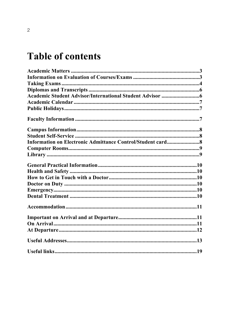## **Table of contents**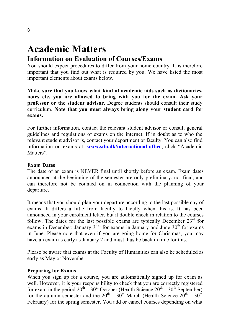# **Academic Matters**

## **Information on Evaluation of Courses/Exams**

You should expect procedures to differ from your home country. It is therefore important that you find out what is required by you. We have listed the most important elements about exams below.

**Make sure that you know what kind of academic aids such as dictionaries, notes etc. you are allowed to bring with you for the exam. Ask your professor or the student advisor.** Degree students should consult their study curriculum. **Note that you must always bring along your student card for exams.**

For further information, contact the relevant student advisor or consult general guidelines and regulations of exams on the internet. If in doubt as to who the relevant student advisor is, contact your department or faculty. You can also find information on exams at: **www.sdu.dk/international-office**, click "Academic Matters"

### **Exam Dates**

The date of an exam is NEVER final until shortly before an exam. Exam dates announced at the beginning of the semester are only preliminary, not final, and can therefore not be counted on in connection with the planning of your departure.

It means that you should plan your departure according to the last possible day of exams. It differs a little from faculty to faculty when this is. It has been announced in your enrolment letter, but it double check in relation to the courses follow. The dates for the last possible exams are typically December  $23<sup>rd</sup>$  for exams in December; January  $31<sup>st</sup>$  for exams in January and June  $30<sup>th</sup>$  for exams in June. Please note that even if you are going home for Christmas, you may have an exam as early as January 2 and must thus be back in time for this.

Please be aware that exams at the Faculty of Humanities can also be scheduled as early as May or November.

#### **Preparing for Exams**

When you sign up for a course, you are automatically signed up for exam as well. However, it is your responsibility to check that you are correctly registered for exam in the period  $20^{th} - 30^{th}$  October (Health Science  $20^{th} - 30^{th}$  September) for the autumn semester and the  $20^{th} - 30^{th}$  March (Health Science  $20^{th} - 30^{th}$ February) for the spring semester. You add or cancel courses depending on what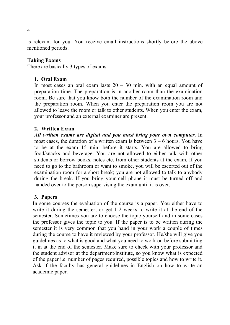is relevant for you. You receive email instructions shortly before the above mentioned periods.

#### **Taking Exams**

There are basically 3 types of exams:

#### **1. Oral Exam**

In most cases an oral exam lasts  $20 - 30$  min. with an equal amount of preparation time. The preparation is in another room than the examination room. Be sure that you know both the number of the examination room and the preparation room. When you enter the preparation room you are not allowed to leave the room or talk to other students. When you enter the exam, your professor and an external examiner are present.

#### **2. Written Exam**

*All written exams are digital and you must bring your own computer***.** In most cases, the duration of a written exam is between 3 – 6 hours. You have to be at the exam 15 min. before it starts. You are allowed to bring food/snacks and beverage. You are not allowed to either talk with other students or borrow books, notes etc. from other students at the exam. If you need to go to the bathroom or want to smoke, you will be escorted out of the examination room for a short break; you are not allowed to talk to anybody during the break. If you bring your cell phone it must be turned off and handed over to the person supervising the exam until it is over.

#### **3. Papers**

In some courses the evaluation of the course is a paper. You either have to write it during the semester, or get 1-2 weeks to write it at the end of the semester. Sometimes you are to choose the topic yourself and in some cases the professor gives the topic to you. If the paper is to be written during the semester it is very common that you hand in your work a couple of times during the course to have it reviewed by your professor. He/she will give you guidelines as to what is good and what you need to work on before submitting it in at the end of the semester. Make sure to check with your professor and the student advisor at the department/institute, so you know what is expected of the paper i.e. number of pages required, possible topics and how to write it. Ask if the faculty has general guidelines in English on how to write an academic paper.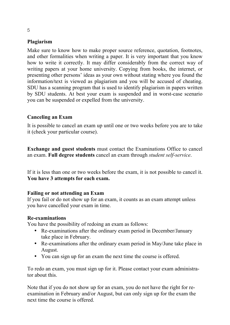## **Plagiarism**

Make sure to know how to make proper source reference, quotation, footnotes, and other formalities when writing a paper. It is very important that you know how to write it correctly. It may differ considerably from the correct way of writing papers at your home university. Copying from books, the internet, or presenting other persons' ideas as your own without stating where you found the information/text is viewed as plagiarism and you will be accused of cheating. SDU has a scanning program that is used to identify plagiarism in papers written by SDU students. At best your exam is suspended and in worst-case scenario you can be suspended or expelled from the university.

### **Canceling an Exam**

It is possible to cancel an exam up until one or two weeks before you are to take it (check your particular course).

**Exchange and guest students** must contact the Examinations Office to cancel an exam. **Full degree students** cancel an exam through *student self-service*.

If it is less than one or two weeks before the exam, it is not possible to cancel it. **You have 3 attempts for each exam.**

## **Failing or not attending an Exam**

If you fail or do not show up for an exam, it counts as an exam attempt unless you have cancelled your exam in time.

#### **Re-examinations**

You have the possibility of redoing an exam as follows:

- Re-examinations after the ordinary exam period in December/January take place in February.
- Re-examinations after the ordinary exam period in May/June take place in August.
- You can sign up for an exam the next time the course is offered.

To redo an exam, you must sign up for it. Please contact your exam administrator about this.

Note that if you do not show up for an exam, you do not have the right for reexamination in February and/or August, but can only sign up for the exam the next time the course is offered.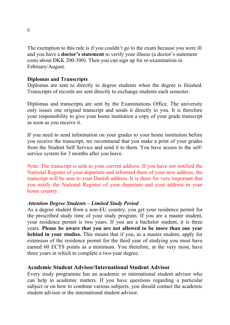The exemption to this rule is if you couldn't go to the exam because you were ill and you have a **doctor's statement** to verify your illness (a doctor's statement costs about DKK 200-300). Then you can sign up for re-examination in February/August.

### **Diplomas and Transcripts**

Diplomas are sent to directly to degree students when the degree is finished. Transcripts of records are sent directly to exchange students each semester.

Diplomas and transcripts are sent by the Examinations Office. The university only issues one original transcript and sends it directly to you. It is therefore your responsibility to give your home institution a copy of your grade transcript as soon as you receive it.

If you need to send information on your grades to your home institution before you receive the transcript, we recommend that you make a print of your grades from the Student Self Service and send it to them. You have access to the selfservice system for 3 months after you leave.

Note: The transcript is sent to your current address. If you have not notified the National Register of your departure and informed them of your new address, the transcript will be sent to your Danish address. It is there for very important that you notify the National Register of your departure and your address in your home country.

#### *Attention Degree Students – Limited Study Period*

As a degree student from a non-EU country, you get your residence permit for the prescribed study time of your study program. If you are a master student, your residence permit is two years. If you are a bachelor student, it is three years. **Please be aware that you are not allowed to be more than one year behind in your studies.** This means that if you, as a master student, apply for extension of the residence permit for the third year of studying you must have earned 60 ECTS points as a minimum. You therefore, at the very most, have three years in which to complete a two-year degree.

## **Academic Student Advisor/International Student Advisor**

Every study programme has an academic or international student advisor who can help in academic matters. If you have questions regarding a particular subject or on how to combine various subjects, you should contact the academic student advisor or the international student advisor.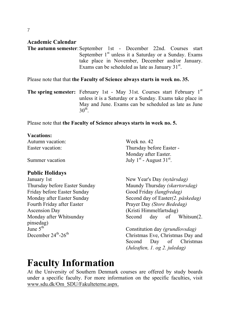## **Academic Calendar**

**The autumn semester:** September 1st - December 22nd. Courses start September  $1<sup>st</sup>$  unless it a Saturday or a Sunday. Exams take place in November, December and/or January. Exams can be scheduled as late as January  $31<sup>st</sup>$ .

Please note that that **the Faculty of Science always starts in week no. 35.**

**The spring semester:** February 1st - May 31st. Courses start February 1<sup>st</sup> unless it is a Saturday or a Sunday. Exams take place in May and June. Exams can be scheduled as late as June  $30^{\text{th}}$ 

Please note that **the Faculty of Science always starts in week no. 5.**

#### **Vacations:**

Autumn vacation: Week no. 42

## **Public Holidays**

January 1st New Year's Day *(nytårsdag)* Friday before Easter Sunday Good Friday *(langfredag)* Fourth Friday after Easter Prayer Day *(Store Bededag)* Ascension Day (Kristi Himmelfartsdag) pinsedag)<br>June 5<sup>th</sup>

Easter vacation: Thursday before Easter -Monday after Easter. Summer vacation  $July \, 1^{st}$  - August  $31^{st}$ .

Thursday before Easter Sunday Maundy Thursday *(skærtorsdag)* Monday after Easter Sunday Second day of Easter*(2. påskedag)* Monday after Whitsunday Second day of Whitsun(2.

June 5<sup>th</sup> Constitution day *(grundlovsdag)*<br>December 24<sup>th</sup>-26<sup>th</sup> Christmas Eve Christmas Day at Christmas Eve, Christmas Day and Second Day of Christmas *(Juleaften, 1. og 2. juledag)*

## **Faculty Information**

At the University of Southern Denmark courses are offered by study boards under a specific faculty. For more information on the specific faculties, visit www.sdu.dk/Om\_SDU/Fakulteterne.aspx.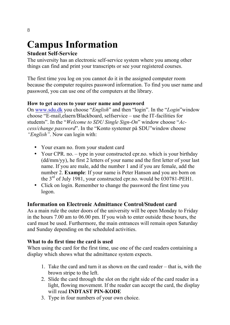## **Campus Information**

## **Student Self-Service**

The university has an electronic self-service system where you among other things can find and print your transcripts or see your registered courses.

The first time you log on you cannot do it in the assigned computer room because the computer requires password information. To find you user name and password, you can use one of the computers at the library.

## **How to get access to your user name and password**

On www.sdu.dk you choose "*English*" and then "login". In the "*Login*"window choose "E-mail,elaern/Blackboard, selfservice – use the IT-facilities for students". In the "*Welcome to SDU Single Sign-On*" window choose "*Access/change password*". In the "Konto systemer på SDU"window choose *"English"*. Now can login with:

- Your exam no. from your student card
- Your CPR, no. type in your constructed cpr.no. which is your birthday (dd/mm/yy), he first 2 letters of your name and the first letter of your last name. If you are male, add the number 1 and if you are female, add the number 2. **Example**: If your name is Peter Hanson and you are born on the 3<sup>rd</sup> of July 1981, your constructed cpr.no. would be 030781-PEH1.
- Click on login. Remember to change the password the first time you logon.

## **Information on Electronic Admittance Control/Student card**

As a main rule the outer doors of the university will be open Monday to Friday in the hours 7.00 am to 06.00 pm. If you wish to enter outside these hours, the card must be used. Furthermore, the main entrances will remain open Saturday and Sunday depending on the scheduled activities.

## **What to do first time the card is used**

When using the card for the first time, use one of the card readers containing a display which shows what the admittance system expects.

- 1. Take the card and turn it as shown on the card reader that is, with the brown stripe to the left.
- 2. Slide the card through the slot on the right side of the card reader in a light, flowing movement. If the reader can accept the card, the display will read **INDTAST PIN-KODE**
- 3. Type in four numbers of your own choice.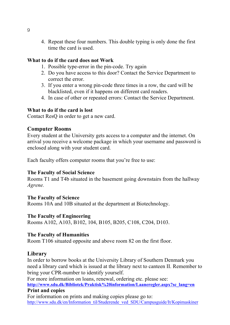4. Repeat these four numbers. This double typing is only done the first time the card is used.

#### **What to do if the card does not Work**

- 1. Possible type-error in the pin-code. Try again
- 2. Do you have access to this door? Contact the Service Department to correct the error.
- 3. If you enter a wrong pin-code three times in a row, the card will be blacklisted, even if it happens on different card readers.
- 4. In case of other or repeated errors: Contact the Service Department.

### **What to do if the card is lost**

Contact ResQ in order to get a new card.

## **Computer Rooms**

Every student at the University gets access to a computer and the internet. On arrival you receive a welcome package in which your username and password is enclosed along with your student card.

Each faculty offers computer rooms that you're free to use:

#### **The Faculty of Social Science**

Rooms T1 and T4b situated in the basement going downstairs from the hallway *Agrene.*

#### **The Faculty of Science**

Rooms 10A and 10B situated at the department at Biotechnology.

#### **The Faculty of Engineering**

Rooms A102, A103, B102, 104, B105, B205, C108, C204, D103.

#### **The Faculty of Humanities**

Room T106 situated opposite and above room 82 on the first floor.

## **Library**

In order to borrow books at the University Library of Southern Denmark you need a library card which is issued at the library next to canteen II. Remember to bring your CPR-number to identify yourself.

For more information on loans, renewal, ordering etc. please see: **http://www.sdu.dk/Bibliotek/Praktisk%20information/Laaneregler.aspx?sc\_lang=en Print and copies**

For information on prints and making copies please go to: http://www.sdu.dk/en/Information\_til/Studerende\_ved\_SDU/Campusguide/It/Kopimaskiner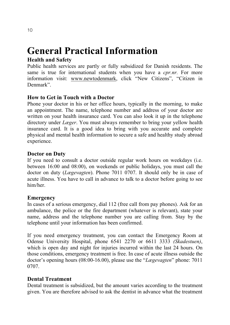## **General Practical Information**

## **Health and Safety**

Public health services are partly or fully subsidized for Danish residents. The same is true for international students when you have a *cpr.nr.* For more information visit: www.newtodenmark, click "New Citizens", "Citizen in Denmark".

## **How to Get in Touch with a Doctor**

Phone your doctor in his or her office hours, typically in the morning, to make an appointment. The name, telephone number and address of your doctor are written on your health insurance card. You can also look it up in the telephone directory under *Læger*. You must always remember to bring your yellow health insurance card. It is a good idea to bring with you accurate and complete physical and mental health information to secure a safe and healthy study abroad experience.

## **Doctor on Duty**

If you need to consult a doctor outside regular work hours on weekdays (i.e. between 16:00 and 08:00), on weekends or public holidays, you must call the doctor on duty (*Lægevagten*). Phone 7011 0707. It should only be in case of acute illness. You have to call in advance to talk to a doctor before going to see him/her.

## **Emergency**

In cases of a serious emergency, dial 112 (free call from pay phones). Ask for an ambulance, the police or the fire department (whatever is relevant), state your name, address and the telephone number you are calling from. Stay by the telephone until your information has been confirmed.

If you need emergency treatment, you can contact the Emergency Room at Odense University Hospital, phone 6541 2270 or 6611 3333 *(Skadestuen)*, which is open day and night for injuries incurred within the last 24 hours. On those conditions, emergency treatment is free. In case of acute illness outside the doctor's opening hours (08:00-16.00), please use the "*Lægevagten*" phone: 7011 0707.

## **Dental Treatment**

Dental treatment is subsidized, but the amount varies according to the treatment given. You are therefore advised to ask the dentist in advance what the treatment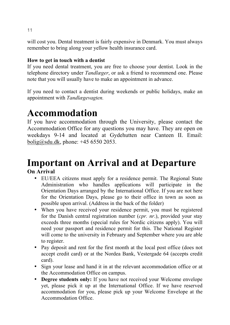will cost you. Dental treatment is fairly expensive in Denmark. You must always remember to bring along your yellow health insurance card.

## **How to get in touch with a dentist**

If you need dental treatment, you are free to choose your dentist. Look in the telephone directory under *Tandlæger*, or ask a friend to recommend one. Please note that you will usually have to make an appointment in advance.

If you need to contact a dentist during weekends or public holidays, make an appointment with *Tandlægevagten.*

## **Accommodation**

If you have accommodation through the University, please contact the Accommodation Office for any questions you may have. They are open on weekdays 9-14 and located at Gydehutten near Canteen II. Email: bolig@sdu.dk, phone: +45 6550 2053.

## **Important on Arrival and at Departure**

**On Arrival**

- EU/EEA citizens must apply for a residence permit. The Regional State Administration who handles applications will participate in the Orientation Days arranged by the International Office. If you are not here for the Orientation Days, please go to their office in town as soon as possible upon arrival. (Address in the back of the folder)
- When you have received your residence permit, you must be registered for the Danish central registration number (*cpr. nr*.), provided your stay exceeds three months (special rules for Nordic citizens apply). You will need your passport and residence permit for this. The National Register will come to the university in February and September where you are able to register.
- Pay deposit and rent for the first month at the local post office (does not accept credit card) or at the Nordea Bank, Vestergade 64 (accepts credit card).
- Sign your lease and hand it in at the relevant accommodation office or at the Accommodation Office on campus.
- **Degree students only:** If you have not received your Welcome envelope yet, please pick it up at the International Office. If we have reserved accommodation for you, please pick up your Welcome Envelope at the Accommodation Office.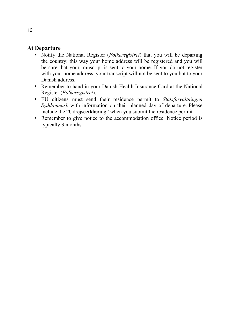## **At Departure**

- Notify the National Register (*Folkeregistret*) that you will be departing the country: this way your home address will be registered and you will be sure that your transcript is sent to your home. If you do not register with your home address, your transcript will not be sent to you but to your Danish address.
- Remember to hand in your Danish Health Insurance Card at the National Register (*Folkeregistret*).
- EU citizens must send their residence permit to *Statsforvaltningen Syddanmark* with information on their planned day of departure. Please include the "Udrejseerklæring" when you submit the residence permit.
- Remember to give notice to the accommodation office. Notice period is typically 3 months.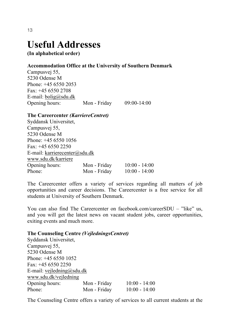## **Useful Addresses**

**(In alphabetical order)**

## **Accommodation Office at the University of Southern Denmark**

Campusvej 55, 5230 Odense M Phone: +45 6550 2053 Fax: +45 6550 2708 E-mail:  $bolig@sdu.dk$ Opening hours: Mon - Friday 09:00-14:00

**The Careercenter** *(KarriereCentret)* Syddansk Universitet, Campusvej 55, 5230 Odense M Phone: +45 6550 1056 Fax:  $+45,6550,2250$ E-mail: karrierecenter@sdu.dk www.sdu.dk/karriere Opening hours: Mon - Friday 10:00 - 14:00 Phone: Mon - Friday 10:00 - 14:00

The Careercenter offers a variety of services regarding all matters of job opportunities and career decisions. The Careercenter is a free service for all students at University of Southern Denmark.

You can also find The Careercenter on facebook.com/careerSDU – "like" us, and you will get the latest news on vacant student jobs, career opportunities, exiting events and much more.

#### **The Counseling Centre** *(VejledningsCentret)*

Syddansk Universitet, Campusvej 55, 5230 Odense M Phone: +45 6550 1052 Fax: +45 6550 2250 E-mail: vejledning@sdu.dk www.sdu.dk/vejledning Opening hours: Mon - Friday 10:00 - 14:00 Phone: Mon - Friday 10:00 - 14:00

The Counseling Centre offers a variety of services to all current students at the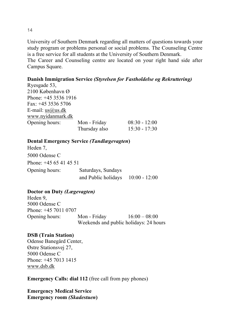University of Southern Denmark regarding all matters of questions towards your study program or problems personal or social problems. The Counseling Centre is a free service for all students at the University of Southern Denmark.

The Career and Counseling centre are located on your right hand side after Campus Square.

## **Danish Immigration Service** *(Styrelsen for Fastholdelse og Rekruttering)*

| Ryesgade 53,           |               |                 |
|------------------------|---------------|-----------------|
| 2100 København Ø       |               |                 |
| Phone: $+45$ 3536 1916 |               |                 |
| Fax: $+45$ 3536 5706   |               |                 |
| E-mail: $us@us.dk$     |               |                 |
| www.nyidanmark.dk      |               |                 |
| Opening hours:         | Mon - Friday  | $08:30 - 12:00$ |
|                        | Thursday also | $15:30 - 17:30$ |

## **Dental Emergency Service** *(Tandlægevagten***)**

Heden 7, 5000 Odense C Phone: +45 65 41 45 51 Opening hours: Saturdays, Sundays and Public holidays 10:00 - 12:00

## **Doctor on Duty** *(Lægevagten)*

Heden 9, 5000 Odense C Phone: +45 7011 0707 Opening hours: Mon - Friday 16:00 – 08:00 Weekends and public holidays: 24 hours

## **DSB (Train Station)**

Odense Banegård Center, Østre Stationsvej 27, 5000 Odense C Phone: +45 7013 1415 www.dsb.dk

**Emergency Calls: dial 112** (free call from pay phones)

**Emergency Medical Service Emergency room** *(Skadestuen***)**

14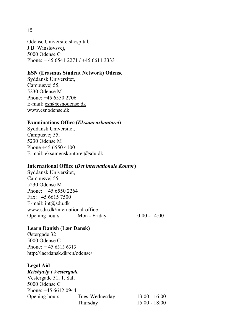15

Odense Universitetshospital, J.B. Winsløvsvej, 5000 Odense C Phone: + 45 6541 2271 / +45 6611 3333

### **ESN (Erasmus Student Network) Odense**

Syddansk Universitet, Campusvej 55, 5230 Odense M Phone: +45 6550 2706 E-mail: esn@esnodense.dk www.esnodense.dk

#### **Examinations Office (***Eksamenskontoret***)**

Syddansk Universitet, Campusvej 55, 5230 Odense M Phone +45 6550 4100 E-mail: eksamenskontoret@sdu.dk

#### **International Office (***Det internationale Kontor***)**

Syddansk Universitet, Campusvej 55, 5230 Odense M Phone: + 45 6550 2264 Fax: +45 6615 7500 E-mail: int@sdu.dk www.sdu.dk/international-office Opening hours: Mon - Friday 10:00 - 14:00

## **Learn Danish (Lær Dansk)**

Østergade 32 5000 Odense C Phone: + 45 6313 6313 http://laerdansk.dk/en/odense/

#### **Legal Aid**

*Retshjælp i Vestergade* Vestergade 51, 1. Sal, 5000 Odense C Phone: +45 6612 0944 Opening hours: Tues-Wednesday 13:00 - 16:00 Thursday 15:00 - 18:00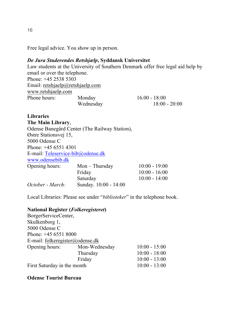Free legal advice. You show up in person.

### *De Jura Studerendes Retshjælp***, Syddansk Universitet**

Law students at the University of Southern Denmark offer free legal aid help by email or over the telephone. Phone: +45 2538 5303 Email: retshjaelp@retshjaelp.com www.retshjaelp.com Phone hours: Monday 16.00 - 18:00 Wednesday 18:00 - 20:00

**Libraries The Main Library**, Odense Banegård Center (The Railway Station), Østre Stationsvej 15, 5000 Odense C Phone: +45 6551 4301 E-mail: Teleservice-bib@odense.dk www.odensebib.dk Opening hours: Mon – Thursday 10:00 - 19:00 Friday 10:00 - 16:00 Saturday 10:00 - 14:00 *October - March:* Sunday. 10:00 - 14:00

Local Libraries: Please see under "*biblioteker*" in the telephone book.

#### **National Register (***Folkeregisteret***)**

BorgerServiceCenter, Skulkenborg 1, 5000 Odense C Phone: +45 6551 8000 E-mail: folkeregister@odense.dk Opening hours: Mon-Wednesday 10:00 - 15:00 Thursday 10:00 - 18:00 Friday 10:00 - 13:00 First Saturday in the month 10:00 - 13:00

#### **Odense Tourist Bureau**

16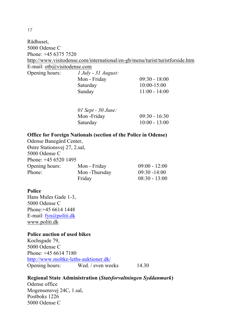Rådhuset, 5000 Odense C Phone: +45 6375 7520 http://www.visitodense.com/international/en-gb/menu/turist/turistforside.htm E-mail: otb@visitodense.com Opening hours: *1 July - 31 August:* 

| $09:30 - 18:00$ |
|-----------------|
| $10:00 - 15:00$ |
| $11:00 - 14:00$ |
|                 |

| $01$ Sept - $30$ June: |                 |
|------------------------|-----------------|
| Mon -Friday            | $09:30 - 16:30$ |
| Saturday               | $10:00 - 13:00$ |

#### **Office for Foreign Nationals (section of the Police in Odense)**

Odense Banegård Center, Østre Stationsvej 27, 2.sal, 5000 Odense C Phone: +45 6520 1495 Opening hours: Mon - Friday 09:00 - 12:00 Phone: Mon -Thursday 09:30 -14:00 Friday 08:30 - 13:00

#### **Police**

Hans Mules Gade 1-3, 5000 Odense C Phone:+45 6614 1448 E-mail: fyn@politi.dk www.politi.dk

#### **Police auction of used bikes**

Kochsgade 79, 5000 Odense C Phone: +45 6614 7180 http://www.moltke-leths-auktioner.dk/ Opening hours: Wed. / even weeks 14.30

#### **Regional State Administration (***Statsforvaltningen Syddanmark***)**

Odense office Mogensensvej 24C, 1.sal, Postboks 1226 5000 Odense C

17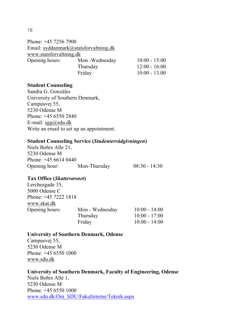#### 18

Phone: +45 7256 7900 Email: syddanmark@statsforvaltning.dk www.statsforvaltning.dk Opening hours: Mon -Wednesday 10:00 - 15:00 Thursday 12:00 - 16:00 Friday 10:00 - 13.00

#### **Student Counseling**

Sandra G. Gonzáles University of Southern Denmark, Campusvej 55, 5230 Odense M Phone: +45 6550 2840 E-mail:  $sgg(\omega)$ sdu.dk Write an email to set up an appointment.

#### **Student Counseling Service (***Studenterrådgivningen***)**

| Niels Bohrs Alle 21, |              |                 |  |
|----------------------|--------------|-----------------|--|
| 5230 Odense M        |              |                 |  |
| Phone: $+4566140440$ |              |                 |  |
| Opening hour:        | Mon-Thursday | $08:30 - 14:30$ |  |

#### **Tax Office (***Skattevæsnet***)**

| Lerchesgade 35,        |                 |                 |
|------------------------|-----------------|-----------------|
| 5000 Odense C          |                 |                 |
| Phone: $+45$ 7222 1818 |                 |                 |
| www.skat.dk            |                 |                 |
| Opening hours:         | Mon - Wednesday | $10:00 - 14:00$ |
|                        | Thursday        | $10:00 - 17:00$ |
|                        | Friday          | $10:00 - 14:00$ |

## **University of Southern Denmark, Odense**

Campusvej 55, 5230 Odense M Phone: +45 6550 1000 www.sdu.dk

**University of Southern Denmark, Faculty of Engineering, Odense** Niels Bohrs Allé 1, 5230 Odense M Phone: +45 6550 1000 www.sdu.dk/Om\_SDU/Fakulteterne/Teknik.aspx